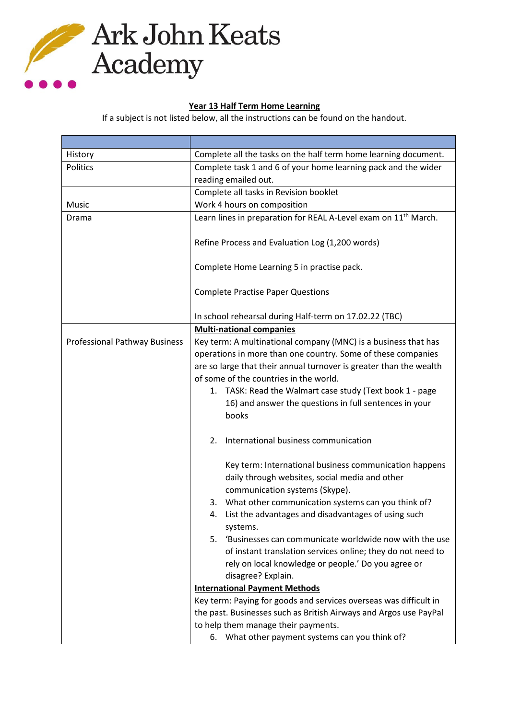

## **Year 13 Half Term Home Learning**

If a subject is not listed below, all the instructions can be found on the handout.

| History                       | Complete all the tasks on the half term home learning document.                                                                            |
|-------------------------------|--------------------------------------------------------------------------------------------------------------------------------------------|
| <b>Politics</b>               | Complete task 1 and 6 of your home learning pack and the wider                                                                             |
|                               | reading emailed out.                                                                                                                       |
|                               | Complete all tasks in Revision booklet                                                                                                     |
| Music                         | Work 4 hours on composition                                                                                                                |
| Drama                         | Learn lines in preparation for REAL A-Level exam on 11 <sup>th</sup> March.                                                                |
|                               | Refine Process and Evaluation Log (1,200 words)                                                                                            |
|                               | Complete Home Learning 5 in practise pack.                                                                                                 |
|                               | <b>Complete Practise Paper Questions</b>                                                                                                   |
|                               | In school rehearsal during Half-term on 17.02.22 (TBC)                                                                                     |
|                               | <b>Multi-national companies</b>                                                                                                            |
| Professional Pathway Business | Key term: A multinational company (MNC) is a business that has                                                                             |
|                               | operations in more than one country. Some of these companies                                                                               |
|                               | are so large that their annual turnover is greater than the wealth                                                                         |
|                               | of some of the countries in the world.                                                                                                     |
|                               | 1. TASK: Read the Walmart case study (Text book 1 - page                                                                                   |
|                               | 16) and answer the questions in full sentences in your<br>books                                                                            |
|                               | International business communication<br>2.                                                                                                 |
|                               | Key term: International business communication happens<br>daily through websites, social media and other<br>communication systems (Skype). |
|                               | 3. What other communication systems can you think of?                                                                                      |
|                               | 4. List the advantages and disadvantages of using such<br>systems.                                                                         |
|                               | 5. 'Businesses can communicate worldwide now with the use                                                                                  |
|                               | of instant translation services online; they do not need to                                                                                |
|                               | rely on local knowledge or people.' Do you agree or                                                                                        |
|                               | disagree? Explain.                                                                                                                         |
|                               | <b>International Payment Methods</b>                                                                                                       |
|                               | Key term: Paying for goods and services overseas was difficult in                                                                          |
|                               | the past. Businesses such as British Airways and Argos use PayPal                                                                          |
|                               | to help them manage their payments.                                                                                                        |
|                               | 6. What other payment systems can you think of?                                                                                            |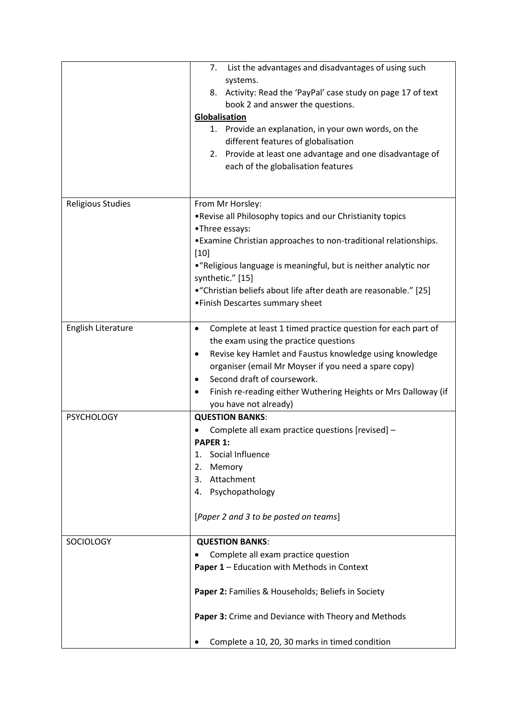|                          | 7. List the advantages and disadvantages of using such<br>systems.<br>8. Activity: Read the 'PayPal' case study on page 17 of text<br>book 2 and answer the questions.<br>Globalisation<br>1. Provide an explanation, in your own words, on the<br>different features of globalisation<br>2. Provide at least one advantage and one disadvantage of<br>each of the globalisation features |
|--------------------------|-------------------------------------------------------------------------------------------------------------------------------------------------------------------------------------------------------------------------------------------------------------------------------------------------------------------------------------------------------------------------------------------|
|                          |                                                                                                                                                                                                                                                                                                                                                                                           |
| <b>Religious Studies</b> | From Mr Horsley:<br>. Revise all Philosophy topics and our Christianity topics<br>•Three essays:<br>• Examine Christian approaches to non-traditional relationships.<br>$[10]$<br>• "Religious language is meaningful, but is neither analytic nor<br>synthetic." [15]<br>• "Christian beliefs about life after death are reasonable." [25]<br>• Finish Descartes summary sheet           |
| English Literature       | Complete at least 1 timed practice question for each part of<br>$\bullet$<br>the exam using the practice questions<br>Revise key Hamlet and Faustus knowledge using knowledge<br>$\bullet$<br>organiser (email Mr Moyser if you need a spare copy)<br>Second draft of coursework.<br>٠<br>Finish re-reading either Wuthering Heights or Mrs Dalloway (if<br>you have not already)         |
| <b>PSYCHOLOGY</b>        | <b>QUESTION BANKS:</b><br>Complete all exam practice questions [revised] -<br><b>PAPER 1:</b><br>Social Influence<br>1.<br>2.<br>Memory<br>Attachment<br>3.<br>Psychopathology<br>4.<br>[Paper 2 and 3 to be posted on teams]                                                                                                                                                             |
| <b>SOCIOLOGY</b>         | <b>QUESTION BANKS:</b><br>Complete all exam practice question<br>Paper 1 - Education with Methods in Context<br>Paper 2: Families & Households; Beliefs in Society<br>Paper 3: Crime and Deviance with Theory and Methods<br>Complete a 10, 20, 30 marks in timed condition                                                                                                               |